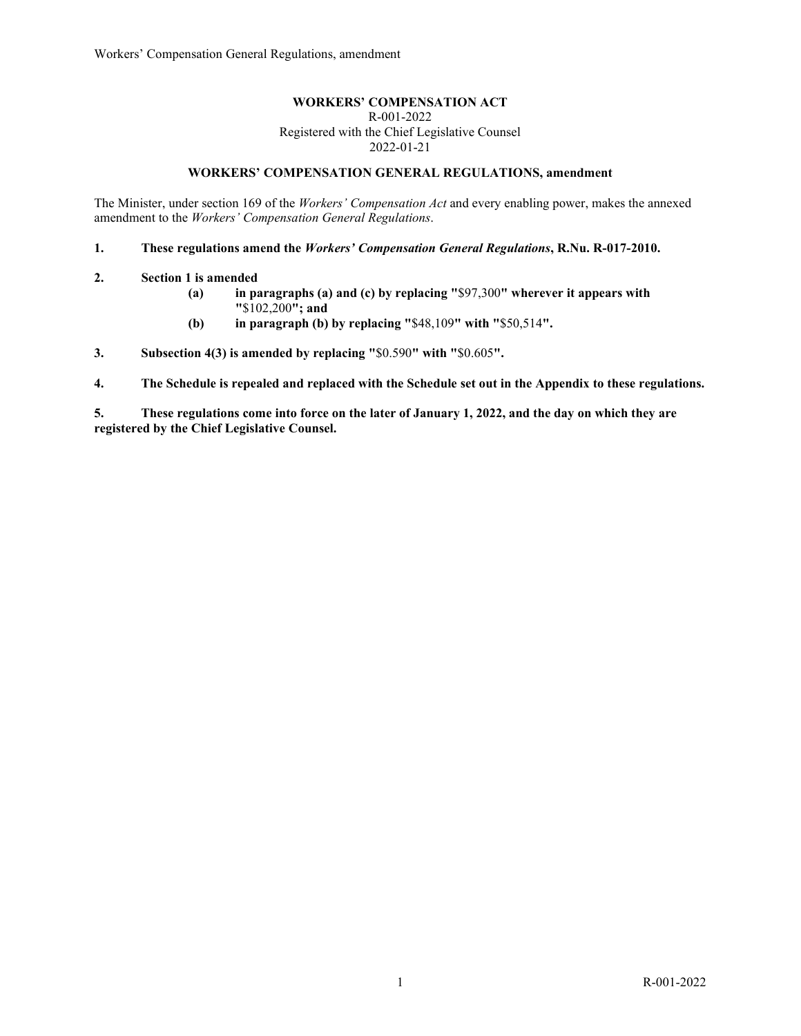## **WORKERS' COMPENSATION ACT**

R-001-2022 Registered with the Chief Legislative Counsel 2022-01-21

# **WORKERS' COMPENSATION GENERAL REGULATIONS, amendment**

The Minister, under section 169 of the *Workers' Compensation Act* and every enabling power, makes the annexed amendment to the *Workers' Compensation General Regulations*.

**1. These regulations amend the** *Workers' Compensation General Regulations***, R.Nu. R-017-2010.** 

- **2. Section 1 is amended**
	- **(a) in paragraphs (a) and (c) by replacing "**\$97,300**" wherever it appears with "**\$102,200**"; and**
	- **(b) in paragraph (b) by replacing "**\$48,109**" with "**\$50,514**".**

**3. Subsection 4(3) is amended by replacing "**\$0.590**" with "**\$0.605**".** 

**4. The Schedule is repealed and replaced with the Schedule set out in the Appendix to these regulations.**

**5. These regulations come into force on the later of January 1, 2022, and the day on which they are registered by the Chief Legislative Counsel.**